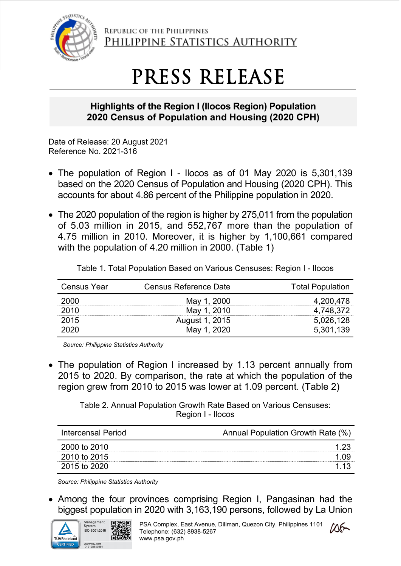

REPUBLIC OF THE PHILIPPINES PHILIPPINE STATISTICS AUTHORITY

## PRESS RELEASE

## **Highlights of the Region I (Ilocos Region) Population 2020 Census of Population and Housing (2020 CPH)**

Date of Release: 20 August 2021 Reference No. 2021-316

- The population of Region I Ilocos as of 01 May 2020 is 5,301,139 based on the 2020 Census of Population and Housing (2020 CPH). This accounts for about 4.86 percent of the Philippine population in 2020.
- The 2020 population of the region is higher by 275,011 from the population of 5.03 million in 2015, and 552,767 more than the population of 4.75 million in 2010. Moreover, it is higher by 1,100,661 compared with the population of 4.20 million in 2000. (Table 1)

| Census Year | <b>Census Reference Date</b> | <b>Total Population</b> |
|-------------|------------------------------|-------------------------|
| 2000        | May 1, 2000                  | 4,200.478               |
| 2010        | May 1, 2010                  | 4.748.372               |
| 2015        | August 1, 2015               | 5,026,128               |
|             | May 1, 2020                  | 5,301,139               |

Table 1. Total Population Based on Various Censuses: Region I - Ilocos

*Source: Philippine Statistics Authority*

• The population of Region I increased by 1.13 percent annually from 2015 to 2020. By comparison, the rate at which the population of the region grew from 2010 to 2015 was lower at 1.09 percent. (Table 2)

Table 2. Annual Population Growth Rate Based on Various Censuses: Region I - Ilocos

| Annual Population Growth Rate (%)<br>Intercensal Period |  |
|---------------------------------------------------------|--|
| 2000 to 2010                                            |  |
| 2010 to 2015                                            |  |
| 2015 to 2020                                            |  |

*Source: Philippine Statistics Authority*

• Among the four provinces comprising Region I, Pangasinan had the biggest population in 2020 with 3,163,190 persons, followed by La Union



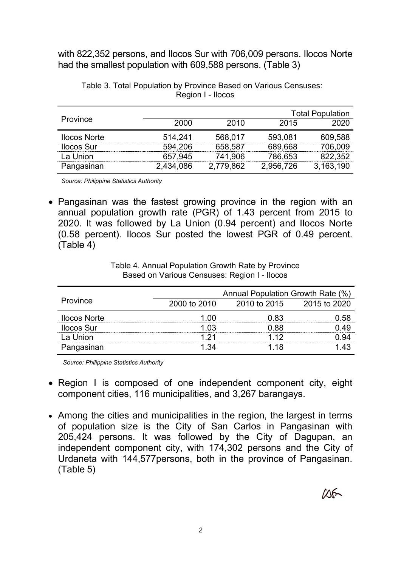with 822,352 persons, and Ilocos Sur with 706,009 persons. Ilocos Norte had the smallest population with 609,588 persons. (Table 3)

|                     |           |           |           | <b>Total Population</b> |
|---------------------|-----------|-----------|-----------|-------------------------|
| Province            | 2000      | 2010      | 2015      | 2020                    |
| <b>Ilocos Norte</b> | 514.241   | 568,017   | 593,081   | 609,588                 |
| <b>Ilocos Sur</b>   | 594.206   | 658,587   | 689,668   | 706.009                 |
| La Union            | 657,945   | 741.906   | 786.653   | 322.352                 |
| Pangasinan          | 2,434,086 | 2,779.862 | 2,956,726 | 3,163,190               |

Table 3. Total Population by Province Based on Various Censuses: Region I - Ilocos

 *Source: Philippine Statistics Authority*

• Pangasinan was the fastest growing province in the region with an annual population growth rate (PGR) of 1.43 percent from 2015 to 2020. It was followed by La Union (0.94 percent) and Ilocos Norte (0.58 percent). Ilocos Sur posted the lowest PGR of 0.49 percent. (Table 4)

| Based on Various Censuses: Region I - Ilocos |              |                                   |              |
|----------------------------------------------|--------------|-----------------------------------|--------------|
|                                              |              | Annual Population Growth Rate (%) |              |
| <b>Province</b>                              | 2000 to 2010 | 2010 to 2015                      | 2015 to 2020 |
| <b>Ilocos Norte</b>                          | 1 ()()       | 0.83                              | 0.58         |
| <b>Ilocos Sur</b>                            |              | ገ ጸጸ                              | 49           |

La Union 1.21 1.12 0.94 Pangasinan 1.34 1.18 1.43

Table 4. Annual Population Growth Rate by Province Based on Various Censuses: Region I - Ilocos

*Source: Philippine Statistics Authority*

- Region I is composed of one independent component city, eight component cities, 116 municipalities, and 3,267 barangays.
- Among the cities and municipalities in the region, the largest in terms of population size is the City of San Carlos in Pangasinan with 205,424 persons. It was followed by the City of Dagupan, an independent component city, with 174,302 persons and the City of Urdaneta with 144,577persons, both in the province of Pangasinan. (Table 5)

 $105-$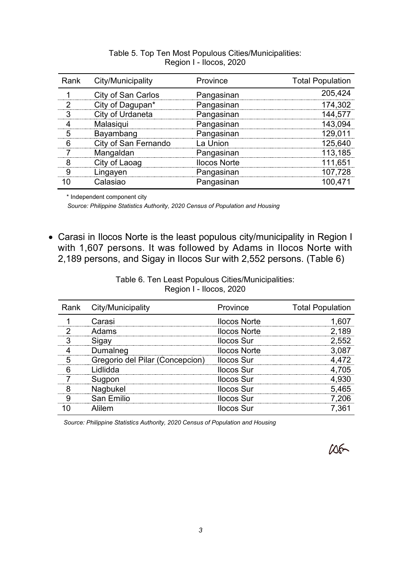| Rank | City/Municipality    | Province            | <b>Total Population</b> |
|------|----------------------|---------------------|-------------------------|
| 1    | City of San Carlos   | Pangasinan          | 205,424                 |
| 2    | City of Dagupan*     | Pangasinan          | 174,302                 |
| 3    | City of Urdaneta     | Pangasinan          | 144,577                 |
|      | Malasiqui            | Pangasinan          | 143,094                 |
| 5    | Bayambang            | Pangasinan          | 129,011                 |
| 6    | City of San Fernando | La Union            | 125,640                 |
|      | Mangaldan            | Pangasinan          | 113,185                 |
| 8    | City of Laoag        | <b>Ilocos Norte</b> | 111,651                 |
| 9    | Lingayen             | Pangasinan          | 107,728                 |
|      | Calasiao             | Pangasinan          | 100,471                 |

Table 5. Top Ten Most Populous Cities/Municipalities: Region I - Ilocos, 2020

\* Independent component city

*Source: Philippine Statistics Authority, 2020 Census of Population and Housing*

• Carasi in Ilocos Norte is the least populous city/municipality in Region I with 1,607 persons. It was followed by Adams in Ilocos Norte with 2,189 persons, and Sigay in Ilocos Sur with 2,552 persons. (Table 6)

Table 6. Ten Least Populous Cities/Municipalities: Region I - Ilocos, 2020

| Rank | City/Municipality               | Province            | <b>Total Population</b> |
|------|---------------------------------|---------------------|-------------------------|
|      | Carasi                          | <b>Ilocos Norte</b> | 1,607                   |
| Ω    | Adams                           | <b>Ilocos Norte</b> | 2,189                   |
| 3    | Sigay                           | <b>Ilocos Sur</b>   | 2,552                   |
|      | Dumalneg                        | <b>Ilocos Norte</b> | 3,087                   |
|      | Gregorio del Pilar (Concepcion) | <b>Ilocos Sur</b>   | 4,472                   |
| հ    | Lidlidda                        | <b>Ilocos Sur</b>   | 4,705                   |
|      | Sugpon                          | <b>Ilocos Sur</b>   | 4,930                   |
| 8    | Nagbukel                        | <b>Ilocos Sur</b>   | 5,465                   |
| 9    | San Emilio                      | <b>Ilocos Sur</b>   | 7,206                   |
|      | Alilem                          | <b>Ilocos Sur</b>   | 7.361                   |

*Source: Philippine Statistics Authority, 2020 Census of Population and Housing*